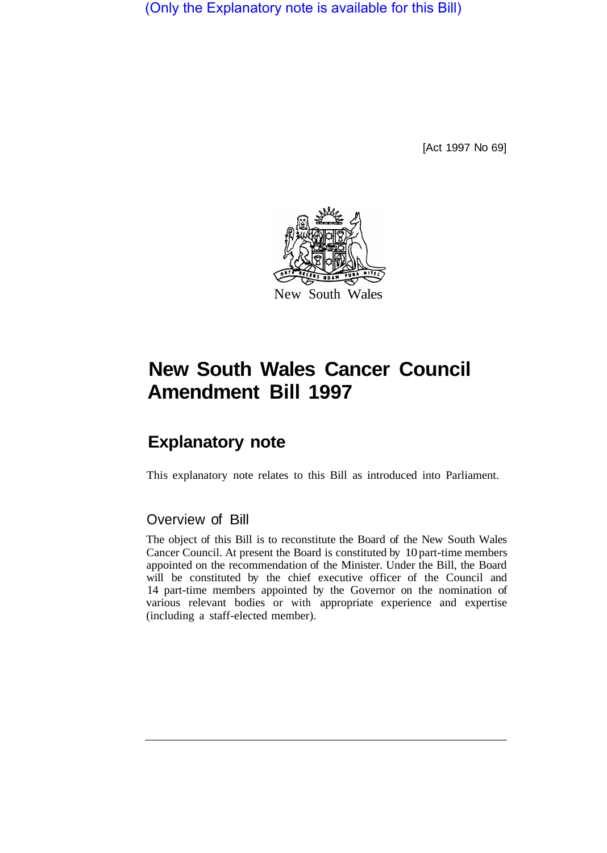(Only the Explanatory note is available for this Bill)

[Act 1997 No 69]



# **New South Wales Cancer Council Amendment Bill 1997**

## **Explanatory note**

This explanatory note relates to this Bill as introduced into Parliament.

### Overview of Bill

The object of this Bill is to reconstitute the Board of the New South Wales Cancer Council. At present the Board is constituted by 10 part-time members appointed on the recommendation of the Minister. Under the Bill, the Board will be constituted by the chief executive officer of the Council and 14 part-time members appointed by the Governor on the nomination of various relevant bodies or with appropriate experience and expertise (including a staff-elected member).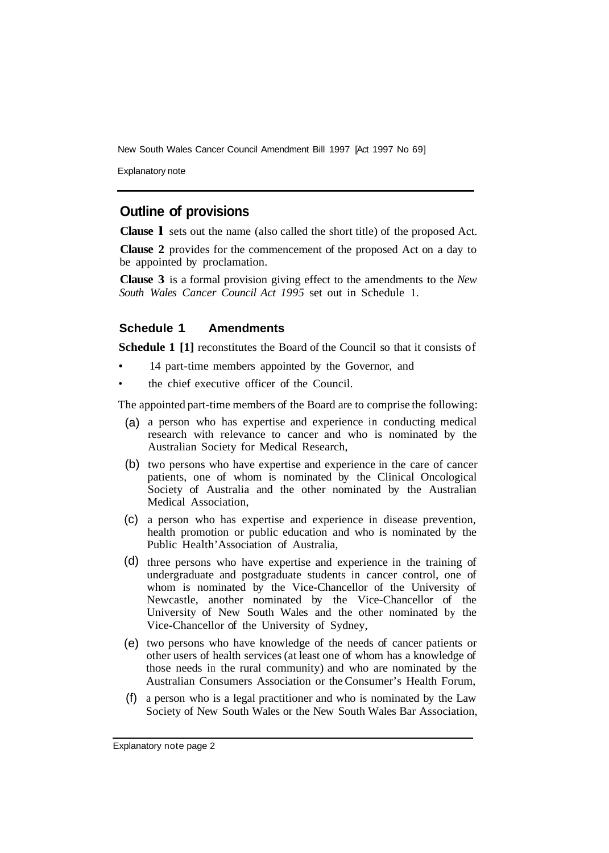New South Wales Cancer Council Amendment Bill 1997 [Act 1997 No 69]

Explanatory note

#### **Outline of provisions**

**Clause l** sets out the name (also called the short title) of the proposed Act.

**Clause 2** provides for the commencement of the proposed Act on a day to be appointed by proclamation.

**Clause 3** is a formal provision giving effect to the amendments to the *New South Wales Cancer Council Act 1995* set out in Schedule 1.

#### **Schedule 1 Amendments**

**Schedule 1 [1]** reconstitutes the Board of the Council so that it consists of

- 14 part-time members appointed by the Governor, and
- the chief executive officer of the Council.

The appointed part-time members of the Board are to comprise the following:

- (a) a person who has expertise and experience in conducting medical research with relevance to cancer and who is nominated by the Australian Society for Medical Research,
- (b) two persons who have expertise and experience in the care of cancer patients, one of whom is nominated by the Clinical Oncological Society of Australia and the other nominated by the Australian Medical Association,
- a person who has expertise and experience in disease prevention, (c) health promotion or public education and who is nominated by the Public Health' Association of Australia,
- (d) three persons who have expertise and experience in the training of undergraduate and postgraduate students in cancer control, one of whom is nominated by the Vice-Chancellor of the University of Newcastle, another nominated by the Vice-Chancellor of the University of New South Wales and the other nominated by the Vice-Chancellor of the University of Sydney,
- (e) two persons who have knowledge of the needs of cancer patients or other users of health services (at least one of whom has a knowledge of those needs in the rural community) and who are nominated by the Australian Consumers Association or the Consumer's Health Forum,
- a person who is a legal practitioner and who is nominated by the Law (f)Society of New South Wales or the New South Wales Bar Association,